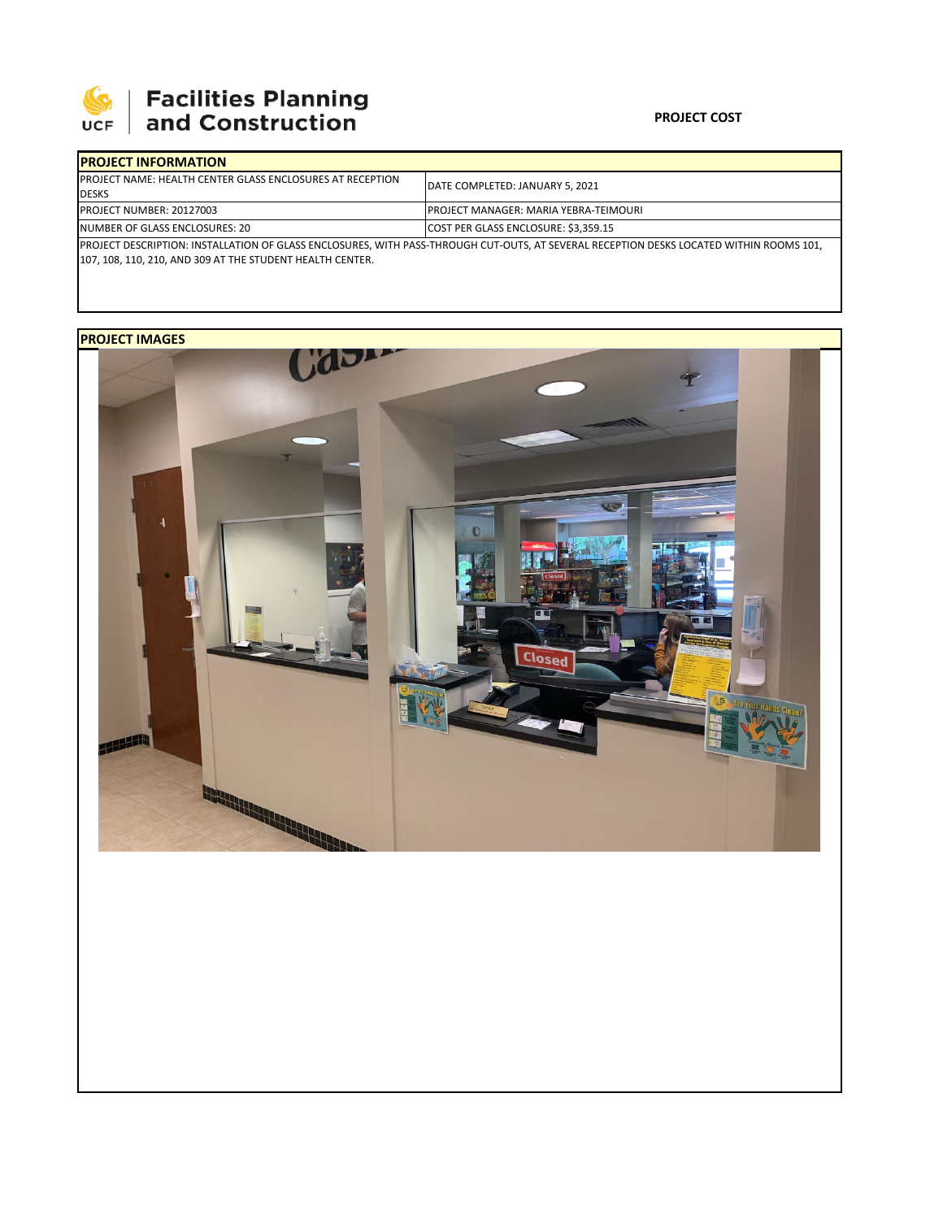

# **SEPTE AND Facilities Planning**<br>UCF and Construction

### **PROJECT COST**

| <b>IPROJECT INFORMATION</b>                                                                                                             |                                         |  |  |  |
|-----------------------------------------------------------------------------------------------------------------------------------------|-----------------------------------------|--|--|--|
| <b>IPROJECT NAME: HEALTH CENTER GLASS ENCLOSURES AT RECEPTION</b><br><b>IDESKS</b>                                                      | <b>IDATE COMPLETED: JANUARY 5. 2021</b> |  |  |  |
| <b>PROJECT NUMBER: 20127003</b>                                                                                                         | IPROJECT MANAGER: MARIA YEBRA-TEIMOURI  |  |  |  |
| INUMBER OF GLASS ENCLOSURES: 20                                                                                                         | COST PER GLASS ENCLOSURE: \$3,359.15    |  |  |  |
| PROJECT DESCRIPTION: INSTALLATION OF GLASS ENCLOSURES, WITH PASS-THROUGH CUT-OUTS, AT SEVERAL RECEPTION DESKS LOCATED WITHIN ROOMS 101, |                                         |  |  |  |
| 107. 108. 110. 210. AND 309 AT THE STUDENT HEALTH CENTER.                                                                               |                                         |  |  |  |

### **PROJECT IMAGES**